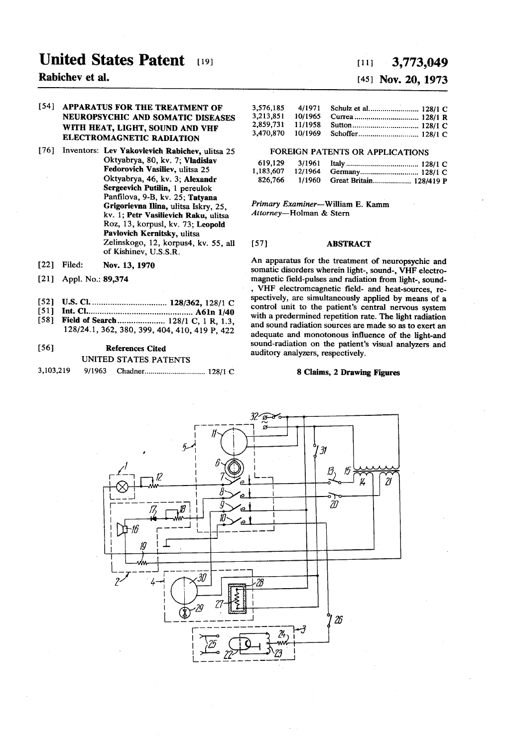# United States Patent [19]

# Rabichev et al.

## [54] APPARATUS FOR THE TREATMENT OF NEUROPSYCHIC AND SOMATIC DISEASES WITH HEAT, LIGHT, SOUND AND VHF ELECTROMAGNETIC RADIATION

- [76] Inventors: Lev Yakovlevich Rabichev, ulitsa 25 Oktyabrya, 80, kv. 7; Vladislav Fedorovich Vasiliev, ulitsa 25 Oktyabrya, 46, kv. 3; Alexandr Sergeevich Putilin, 1 pereulok<br>Panfilova, 9-B, kv. 25; Tatyana Grigorievna Ilina, ulitsa Iskry, 25, kv. 1; Petr Vasilievich Raku, ulitsa<br>Roz, 13, korpusl, kv. 73; Leopold Pavlovich Kernitsky, ulitsa Zelinskogo, 12, korpus4, kv. 55, all of Kishinev, U.S.S.R.
- [22] Filed: Nov. 13, 1970
- (21) Appl. No.: 89,374
- 52 U.S. Cl.................................. 128/362, 128/1 C
- 51 Int. Cl............................................... A6 in 1/40 [58] Field of Search..................... 128/1 C, 1 R, 1.3,
- 128/24.1, 362,380,399, 404, 410, 419 P, 422

## [56] References Cited UNITED STATES PATENTS

3,103,219 9/1963 Chadner............................. 12871 C

# $(11)$  3,773,049

# (45) Nov. 20, 1973

| 3,576,185 | 4/1971  |  |
|-----------|---------|--|
| 3,213,851 | 10/1965 |  |
| 2.859.731 | 11/1958 |  |
| 3,470,870 | 10/1969 |  |

### FOREIGN PATENTS OR APPLICATIONS

| 619,129 3/1961 |         |                                |
|----------------|---------|--------------------------------|
| 1,183,607      | 12/1964 |                                |
| 826.766        |         | 1/1960 Great Britain 128/419 P |

Primary Examiner-William E. Kamm Attorney-Holman & Stern

#### [57] **ABSTRACT**

An apparatus for the treatment of neuropsychic and somatic disorders wherein light-, sound-, VHF electro-<br>magnetic field-pulses and radiation from light-, sound-, VHF electromcagnetic field- and heat-sources, respectively, are simultaneously applied by means of a control unit to the patient's central nervous system with a predermined repetition rate. The light radiation and sound radiation sources are made so as to exert an adequate and monotonous influence of the light-and sound-radiation on the patient's visual analyzers and auditory analyzers, respectively.

#### 8 Claims, 2 Drawing Figures

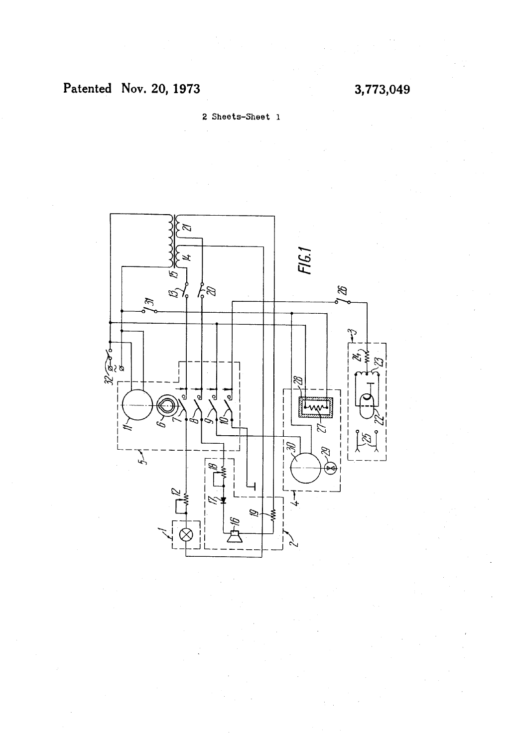2. Sheets-Sheet l

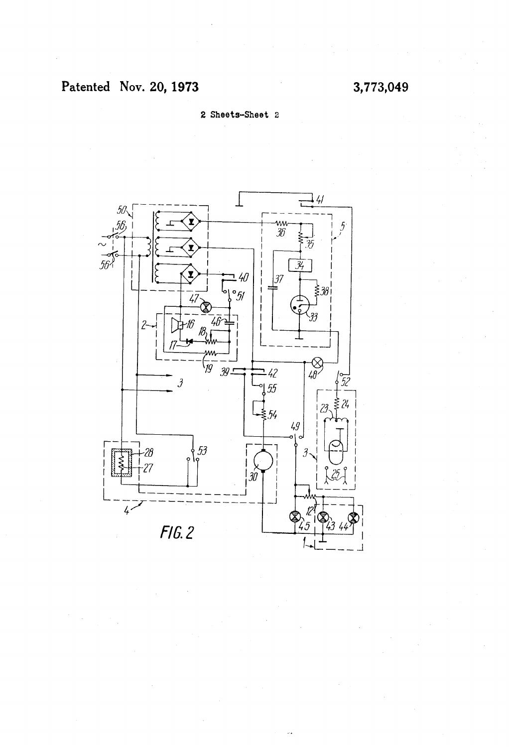2. Sheets-Sheet 2

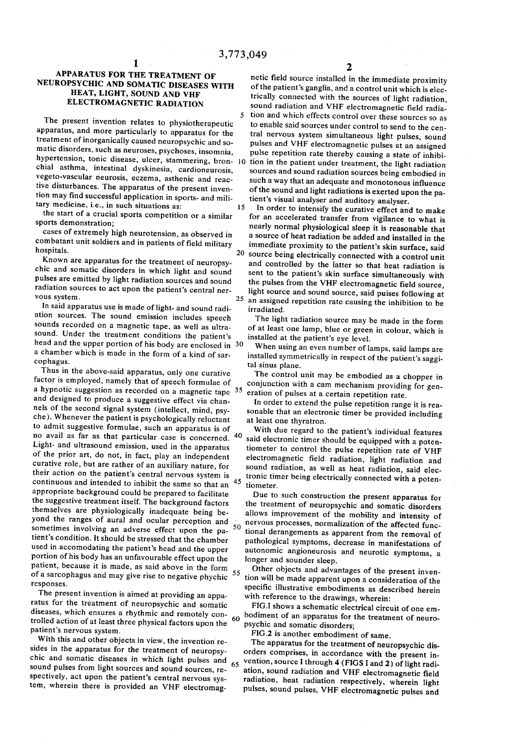#### APPARATUS FOR THE TREATMENT OF NEUROPSYCHIC AND SOMATIC DISEASES WITH HEAT, LIGHT, SOUND AND VHF ELECTROMAGNETIC RADIATION

The present invention relates to physiotherapeutic apparatus, and more particularly to apparatus for the treatment of inorganically caused neuropsychic and so matic disorders, such as neuroses, psychoses, insomnia,<br>hypertension, tonic disease, ulcer, stammering, bron- 10 chial asthma, intestinal dyskinesia, cardioneurosis, vegeto-vascular neurosis, eczema, asthenic and reac tive disturbances. The apparatus of the present inven tion may find successful application in sports- and mili tary medicine, i.e., in such situations as:

the start of a crucial sports competition or a similar sports demonstration;

cases of extremely high neurotension, as observed in combatant unit soldiers and in patients of field military hospitals.

Known are apparatus for the treatment of neuropsy chic and somatic disorders in which light and sound pulses are emitted by light radiation sources and sound radiation sources to act upon the patient's central ner vous system.

In said apparatus use is made of light- and sound radiation sources. The sound emission includes speech sounds recorded on a magnetic tape, as well as ultra-<br>sound. Under the treatment conditions the patient's sound. Under the treatment conditions the patient's head and the upper portion of his body are enclosed in 30 a chamber which is made in the form of a kind of sar cophagus.

Thus in the above-said apparatus, only one curative factor is employed, namely that of speech formulae of and designed to produce a suggestive effect via channels of the second signal system (intellect, mind, psyche). Whenever the patient is psychologically reluctant to admit suggestive formulae, such an apparatus is of no avail as far as that particular case is concerned. Light- and ultrasound emission, used in the apparatus of the prior art, do not, in fact, play an independent curative role, but are rather of an auxiliary nature, for their action on the patient's central nervous system is continuous and intended to inhibit the same so that an appropriate background could be prepared to facilitate the suggestive treatment itself. The background factors themselves are physiologically inadequate being be yond the ranges of aural and ocular perception and sometimes involving an adverse effect upon the pa- $50$ tient's condition. It should be stressed that the chamber used in accomodating the patient's head and the upper portion of his body has an unfavourable effect upon the patient, because it is made, as said above in the form of a sarcophagus and may give rise to negative phychic responses. a hypnotic suggestion as recorded on a magnetic tape <sup>35</sup> eration of pulses at a certain repetition rate. 55

The present invention is aimed at providing an appa ratus for the treatment of neuropsychic and somatic diseases, which ensures a rhythmic and remotely con trolled action of at least three physical factors upon the patient's nervous system. 60

With this and other objects in view, the invention resides in the apparatus for the treatment of neuropsychic and somatic diseases in which light pulses and sound pulses from light sources and sound sources, re spectively, act upon the patient's central nervous sys tem, wherein there is provided an VHF electromag 65

 $2$  netic field source installed in the immediate proximity of the patient's ganglia, and a control unit which is electrically connected with the sources of light radiation, sound radiation and VHF electromagnetic field radia tion and which effects control over these sources so as to enable said sources under control to send to the cen tral nervous system simultaneous light pulses, sound pulses and VHF electromagnetic pulses at an assigned pulse repetition rate thereby causing a state of inhibi tion in the patient under treatment, the light radiation sources and sound radiation sources being embodied in such a way that an adequate and monotonous influence<br>of the sound and light radiations is exerted upon the patient's visual analyser and auditory analyser.

15 20 25 an assigned repetition rate causing the inhibition to be In order to intensify the curative effect and to make for an accelerated transfer from vigilance to what is nearly normal physiological sleep it is reasonable that a source of heat radiation be added and installed in the immediate proximity to the patient's skin surface, said source being electrically connected with a control unit and controlled by the latter so that heat radiation is sent to the patient's skin surface simultaneously with the pulses from the VHF electromagnetic field source, light source and sound source, said puises following at irradiated.

The light radiation source may be made in the form of at least one lamp, blue or green in colour, which is installed at the patient's eye level.

When using an even number of lamps, said lamps are installed symmetrically in respect of the patient's saggi tal sinus plane.

The control unit may be embodied as a chopper in conjunction with a cam mechanism providing for gen-

In order to extend the pulse repetition range it is rea sonable that an electronic timer be provided including at least one thyratron.

40 said electronic timer should be equipped with a poten- $45$  tiometer. With due regard to the patient's individual features tiometer to control the pulse repetition rate of VHF electromagnetic field radiation, light radiation and sound radiation, as well as heat radiation, said elec tronic timer being electrically connected with a poten-

Due to such construction the present apparatus for the treatment of neuropsychic and somatic disorders allows improvement of the mobility and intensity of nervous processes, normalization of the affected func tional derangements as apparent from the removal of pathological symptoms, decrease in manifestations of autonomic angioneurosis and neurotic symptoms, a longer and sounder sleep.

Other objects and advantages of the present inven tion will be made apparent upon a consideration of the specific illustrative embodiments as described herein with reference to the drawings, wherein:

FIG.I shows a schematic electrical circuit of one em bodiment of an apparatus for the treatment of neuro psychic and somatic disorders;

FIG.2 is another embodiment of same.

The apparatus for the treatment of neuropsychic dis orders comprises, in accordance with the present in vention, source I through 4 (FIGS I and 2) of light radi ation, sound radiation and VHF electromagnetic field pulses, sound pulses, VHF electromagnetic pulses and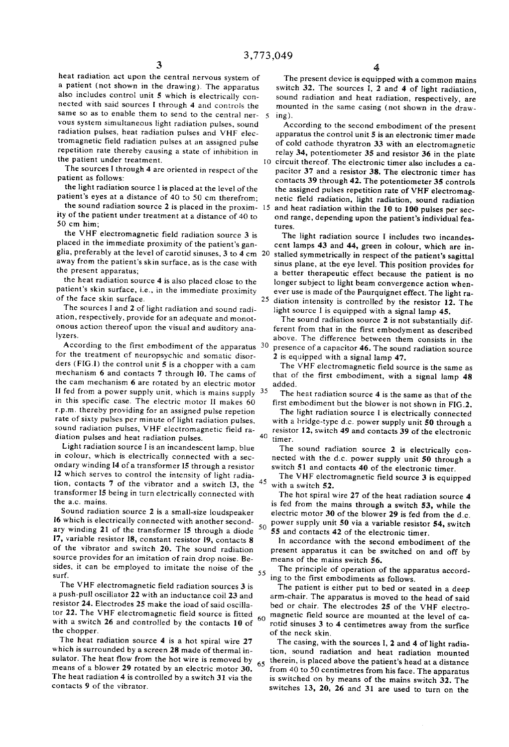$\mathcal{L}$ 

SO

heat radiation act upon the central nervous system of a patient (not shown in the drawing). The apparatus also includes control unit 5 which is electrically con nected with said sources I through 4 and controls the same so as to enable them to send to the central ner vous system simultaneous light radiation pulses, sound radiation pulses, heat radiation pulses and VHF elec tromagnetic field radiation pulses at an assigned pulse repetition rate thereby causing a state of inhibition in the patient under treatment.

The sources I through 4 are oriented in respect of the patient as follows:

the light radiation source l is placed at the level of the patient's eyes at a distance of 40 to 50 cm therefrom;

the sound radiation source  $2$  is placed in the proxim-  $15$ ity of the patient under treatment at a distance of 40 to 50 cm him;

the VHF electromagnetic field radiation source 3 is placed in the immediate proximity of the patient's gan glia, preferably at the level of carotid sinuses, 3 to 4 cm 20 away from the patient's skin surface, as is the case with the present apparatus,

the heat radiation source 4 is also placed close to the patient's skin surface, i.e., in the immediate proximity of the face skin surface,

The sources I and 2 of light radiation and sound radi ation, respectively, provide for an adequate and monot onous action thereof upon the visual and auditory ana lyzers.

According to the first embodiment of the apparatus 30 for the treatment of neuropsychic and somatic disor ders (FIG.) the control unit 5 is a chopper with a cam mechanism 6 and contacts 7 through I0. The cams of the cam mechanism 6 are rotated by an electric motor fed from a power supply unit, which is mains supply 35 in this specific case. The electric motor II makes 60 r, p.m. thereby providing for an assigned pulse repetion rate of sixty pulses per minute of light radiation pulses, sound radiation pulses, VHF electromagnetic field ra diation pulses and heat radiation pulses.

Light radiation source I is an incandescent lamp, blue in colour, which is electrically connected with a sec ondary winding 14 of a transformer I5 through a resistor 12 which serves to control the intensity of light radia tion, contacts 7 of the vibrator and a switch  $\overline{13}$ , the  $\frac{45}{7}$ transformer 15 being in turn electrically connected with the a.c. mains,

Sound radiation source 2 is a small-size loudspeaker l6 which is electrically connected with another second ary winding 21 of the transformer I5 through a diode 7, variable resistor i8, constant resistor 19, contacts 8 of the vibrator and switch 20. The sound radiation source provides for an imitation of rain drop noise. Be sides, it can be employed to imitate the noise of the surf. 55

The VHF electromagnetic field radiation sources 3 is a push-pull oscillator 22 with an inductance coil 23 and resistor 24. Electrodes 25 make the load of said oscilla tor 22. The VHF electromagnetic field source is fitted with a switch 26 and controlled by the contacts 10 of the chopper. 60

The heat radiation source 4 is a hot spiral wire 27 which is surrounded by a screen 28 made of thermal in sulator. The heat flow from the hot wire is removed by means of a blower 29 rotated by an electric motor 30. The heat radiation 4 is controlled by a switch 31 via the contacts 9 of the vibrator, 65

The present device is equipped with a common mains switch 32. The sources I, 2 and 4 of light radiation, sound radiation and heat radiation, respectively, are mounted in the same casing (not shown in the drawing).

O circuit thereof. The electronic timer also includes a ca According to the second embodiment of the present apparatus the control unit 5 is an electronic timer made of cold cathode thyratron 33 with an electromagnetic relay 34, potentiometer 35 and resistor 36 in the plate pacitor 37 and a resistor 38. The electronic timer has contacts 39 through 42. The potentiometer 35 controls the assigned pulses repetition rate of VHF electromag netic field radiation, light radiation, sound radiation and heat radiation within the 10 to 100 pulses per sec ond range, depending upon the patient's individual fea

 $25$  diation intensity is controlled by the resistor 12. The tures. The light radiation source I includes two incandes cent lamps 43 and 44, green in colour, which are in stalled symmetrically in respect of the patient's sagittal sinus plane, at the eye level. This position provides for a better therapeutic effect because the patient is no longer subject to light beam convergence action when ever use is made of the Paurquignet effect. The light ra light source I is equipped with a signal lamp 45.

The sound radiation source 2 is not substantially different from that in the first embodyment as described above. The difference between then consists in the presence of a capacitor 46. The sound radiation source

2 is equipped with a signal lamp 47.

The VHF electromagnetic field source is the same as that of the first embodiment, with a signal lamp 48 added.

The heat radiation source 4 is the same as that of the first embodiment but the blower is not shown in FIG.2. The light radiation source I is electrically connected

40 with a bridge-type d.c. power supply unit 50 through a resistor 12, switch 49 and contacts 39 of the electronic timer.

The sound radiation source 2 is electrically connected with the d.c. power supply unit 50 through a switch 51 and contacts 40 of the electronic timer.

The VHF electromagnetic field source 3 is equipped with a switch 52.

The hot spiral wire 27 of the heat radiation source 4 is fed from the mains through a switch 53, while the electric motor 30 of the blower 29 is fed from the d.c. power supply unit 50 via a variable resistor 54, switch

55 and contacts 42 of the electronic timer. ln accordance with the second embodiment of the

present apparatus it can be switched on and off by means of the mains switch 56.

The principle of operation of the apparatus accord ing to the first embodiments as follows.

The patient is either put to bed or seated in a deep arm-chair. The apparatus is moved to the head of said bed or chair. The electrodes 25 of the VHF electro magnetic field source are mounted at the level of ca rotid sinuses 3 to 4 centimetres away from the surfice of the neck skin.

The casing, with the sources I, 2 and 4 of light radia tion, sound radiation and heat radiation mounted therein, is placed above the patient's head at a distance<br>from 40 to 50 centimetres from his face. The apparatus is switched on by means of the mains switch 32. The switches  $13$ ,  $20$ ,  $26$  and  $31$  are used to turn on the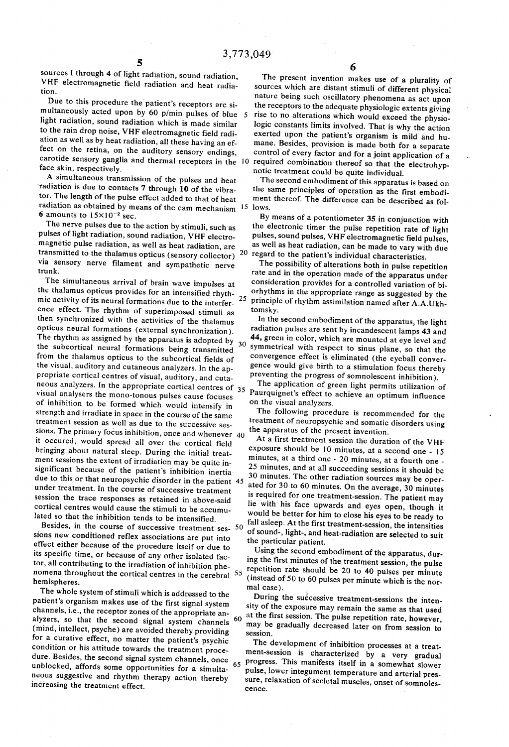sources I through 4 of light radiation, sound radiation, VHF electromagnetic field radiation and heat radia tion.

Due to this procedure the patient's receptors are simultaneously acted upon by 60 p/min pulses of blue  $5$ light radiation, sound radiation which is made similar to the rain drop noise, VHF electromagnetic field radi ation as well as by heat radiation, all these having an effect on the retina, on the auditory sensory endings, fect on the retina, on the auditory sensory endings, carotide sensory ganglia and thermal receptors in the 10 face skin, respectively.

A simultaneous transmission of the pulses and heat radiation is due to contacts 7 through 10 of the vibra tor. The length of the pulse effect added to that of heat  $\epsilon$  adiation as obtained by means of the cam mechanism  $\frac{15}{15}$  lows. 6 amounts to  $15\times10^{-2}$  sec.

The nerve pulses due to the action by stimuli, such as pulses of light radiation, sound radiation, VHF electro magnetic pulse radiation, as well as heat radiation, are transmitted to the thalamus opticus (sensory collector) via sensory nerve filament and sympathetic nerve trunk.

The simultaneous arrival of brain wave impulses at the thalamus opticus provides for an intensified rhyth mic activity of its neural formations due to the interfer ence effect. The rhythm of superimposed stimuli as then synchronized with the activities of the thalamus opticus neural formations (external synchronization). ophicus neural formations (external synchronization).<br>The rhythm as assigned by the apparatus is adopted by 30<br>the subcortical neural formations heimed by 30 the subcortical neural formations being transmitted from the thalamus opticus to the subcortical fields of the visual, auditory and cutaneous analyzers. In the appropriate cortical centres of visual, auditory, and cutaneous analyzers. In the appropriate cortical centres of 35 visual analysers the mono-tonous pulses cause focuses of inhibition to be formed which would intensify in strength and irradiate in space in the course of the same treatment session as well as due to the successive ses sions. The primary focus inhibition, once and whenever 40 it occured, would spread all over the cortical field bringing about natural sleep. During the initial treat ment sessions the extent of irradiation may be quite in significant because of the patient's inhibition inertia due to this or that neuropsychic disorder in the patient 45 under treatment. In the course of successive treatment session the trace responses as retained in above-said cortical centres would cause the stimuli to be accumu lated so that the inhibition tends to be intensified. 25

besides, in the course of successive treatment ses-  $50$ sions new conditioned reflex associations are put into effect either because of the procedure itself or due to its specific time, or because of any other isolated factor, all contributing to the irradiation of inhibition phetor, all contributing to the irradiation of inhibition phe tor, all contributing to the irradiation of inhibition phe-<br>nomena throughout the cortical centres in the cerebral  $\frac{55}{20}$  repetition rate should be 20 to 40 pulses per minute<br>hemispheres.<br>mel case of 50 to 60 pulses

The whole system of stimuli which is addressed to the patient's organism makes use of the first signal system channels, i.e., the receptor zones of the appropriate an alyzers, so that the second signal system channels <sup>60</sup> (mind, intellect, psyche) are avoided thereby providing for a curative effect, no matter the patient's psychic condition or his attitude towards the treatment proce dure. Besides, the second signal system channels, once unblocked, affords some opportunities for a simulta neous suggestive and rhythm therapy action thereby increasing the treatment effect. 65

The present invention makes use of a plurality of sources which are distant stimuli of different physical nature being such oscillatory phenomena as act upon<br>the receptors to the adequate physiologic extents giving<br>rise to no alterations which would exceed the physiologic constants limits involved. That is why the action exerted upon the patient's organism is mild and humane. Besides, provision is made both for a separate control of every factor and for a joint application of a notic treatment could be quite individual.

The second embodiment of this apparatus is based on the same principles of operation as the first embodi ment thereof. The difference can be described as fol

20 regard to the patient's individual characteristics. By means of a potentiometer 35 in conjunction with<br>the electronic timer the pulse repetition rate of light pulses, sound pulses, VHF electromagnetic field pulses, as well as heat radiation, can be made to vary with due

The possibility of alterations both in pulse repetition rate and in the operation made of the apparatus under consideration provides for a controlled variation of bi orhythms in the appropriate range as suggested by the principle of rhythm assimilation named after A.A. Ukhtomsky.

In the second embodiment of the apparatus, the light radiation pulses are sent by incandescent lamps 43 and 44, green in color, which are mounted at eye level and symmetrical with respect to sinus plane, so that the convergence effect is eliminated (the eyeball conver preventing the progress of somnolescent inhibition).

The application of green light permits utilization of Paurquignet's effect to achieve an optimum influence on the visual analyzers.

The following procedure is recommended for the treatment of neuropsychic and somatic disorders using the apparatus of the present invention.

At a first treatment session the duration of the VHF exposure should be 10 minutes, at a second one - 15 minutes, at a third one -  $20$  minutes, at a fourth one -25 minutes, and at all succeeding sessions it should be 30 minutes. The other radiation sources may be oper ated for 30 to 60 minutes. On the average, 30 minutes lie with his face upwards and eyes open, though it would be better for him to close his eyes to be ready to fall asleep. At the first treatment-session, the intensities of sound-, light-, and heat-radiation are selected to suit the particular patient.

Using the second embodiment of the apparatus, during the first minutes of the treatment session, the pulse (instead of 50 to 60 pulses per minute which is the nor mal case).

During the successive treatment-sessions the intensity of the exposure may remain the same as that used at the first session. The pulse repetition rate, however, may be gradually decreased later on from session to session.

The development of inhibition processes at a treat ment-session is characterized by a very gradual progress. This manifests itself in a somewhat slower pulse, lower integument temperature and arterial pres sure, relaxation of sceletal muscles, onset of somnoles cence.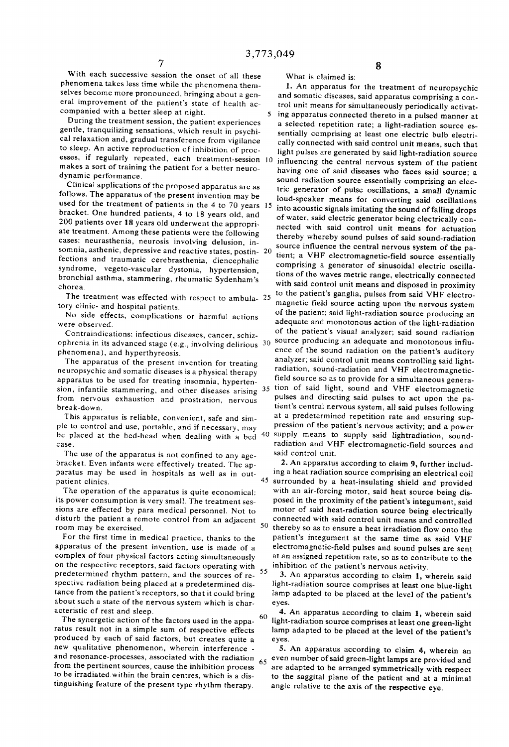With each successive session the onset of all these phenomena takes less time while the phenomena them selves become more pronounced, bringing about a gen eral improvement of the patient's state of health ac

companied with a better sleep at night. gentle, tranquilizing sensations, which result in psychical relaxation and, gradual transference from vigilance to sleep. An active reproduction of inhibition of proc esses, if regularly repeated, each treatment-session 10 makes a sort of training the patient for a better neuro-<br>dynamic performance.

Clinical applications of the proposed apparatus are as follows. The apparatus of the present invention may be used for the treatment of patients in the 4 to 70 years 15 bracket. One hundred patients, 4 to 18 years old, and 200 patients over 18 years old underwent the appropri ate treatment. Among these patients were the following cases: neurasthenia, neurosis involving delusion, insomnia, asthenic, depressive and reactive states, postin- 20 fections and traumatic cerebras thenia, diencephalic syndrome, vegeto-vascular dystonia, hypertension, bronchial asthma, stammering, rheumatic Sydenham's chorea.

The treatment was effected with respect to ambula- $25$ tory clinic- and hospital patients.

No side effects, complications or harmful actions were observed.

Contraindications: infectious diseases, cancer, schiz

phenomena), and hyperthyreosis.<br>The apparatus of the present invention for treating neuropsychic and somatic diseases is a physical therapy apparatus to be used for treating insomnia, hypertenapparatus to be used for treating insomnia, hyperten-<br>sion, infantile stammering, and other diseases arising <sup>35</sup> from nervous exhaustion and prostration, nervous break-down.

This apparatus is reliable, convenient, safe and sim ple to control and use, portable, and if necessary, may

The use of the apparatus is not confined to any age bracket. Even infants were effectively treated. The ap paratus may be used in hospitals as well as in out patient clinics.

The operation of the apparatus is quite economical: its power consumption is very small. The treatment ses sions are effected by para medical personnel. Not to disturb the patient a remote control from an adjacent room may be exercised.

For the first time in medical practice, thanks to the apparatus of the present invention, use is made of a complex of four physical factors acting simultaneously on the respective receptors, said factors operating with 55<br>predetermined rhythm nattern, and the sources of ra<sup>55</sup> predetermined rhythm pattern, and the sources of re spective radiation being placed at a predetermined dis tance from the patient's receptors, so that it could bring about such a state of the nervous system which is char acteristic of rest and sleep,

The synergetic action of the factors used in the apparatus result not in a simple sum of respective effects produced by each of said factors, but creates quite a new qualitative phenomenon, wherein interference new qualitative phenomenon, wherein interference -<br>and resonance-processes, associated with the radiation 65<br>from the pertinent sources cause the inhibition present 65 from the pertinent sources, cause the inhibition process to be irradiated within the brain centres, which is a dis tinguishing feature of the present type rhythm therapy.

What is claimed is:

ophrenia in its advanced stage (e.g., involving delirious  $30\,$  source producing an adequate and monotonous inflube placed at the bed-head when dealing with a bed <sup>40</sup> supply means to supply said lightradiation, sound-<br>case. Tadiation and VHF electromagnetic-field sources and 1. An apparatus for the treatment of neuropsychic and somatic diseases, said apparatus comprising a con trol unit means for simultaneously periodically activat ing apparatus connected thereto in a pulsed manner at a selected repetition rate; a light-radiation source es sentially comprising at least one electric bulb electri cally connected with said control unit means, such that light pulses are generated by said light-radiation source influencing the central nervous system of the patient having one of said diseases who faces said source; a sound radiation source essentially comprising an elec tric generator of pulse oscillations, a small dynamic loud-speaker means for converting said oscillations into acoustic signals initating the sound of falling drops of water, said electric generator being electrically con nected with said control unit means for actuation thereby whereby sound pulses of said sound-radiation tient; a VHF electromagnetic-field source essentially comprising a generator of sinusoidal electric oscilla tions of the waves metric range, electrically connected with said control unit means and disposed in proximity to the patient's ganglia, pulses from said VHF electro magnetic field source acting upon the nervous system of the patient; said light-radiation source producing an adequate and monotonous action of the light-radiation of the patient's visual analyzer, said sound radiation ence of the sound radiation on the patient's auditory analyzer; said control unit means controlling said light radiation, sound-radiation and VHF electromagnetic-<br>field source so as to provide for a simultaneous generation of said light, sound and VHF electromagnetic pulses and directing said pulses to act upon the patient's central nervous system, all said pulses following pression of the patient's nervous activity; and a power radiation and VHF electromagnetic-field sources and said control unit.

> 45 50 2. An apparatus according to claim 9, further includ ing a heat radiation source comprising an electrical coil surrounded by a heat-insulating shield and provided with an air-forcing motor, said heat source being dis posed in the proximity of the patient's integument, said motor of said heat-radiation source being electrically connected with said control unit means and controlled thereby so as to ensure a heat irradiation flow onto the patient's integument at the same time as said VHF electromagnetic-field pulses and sound pulses are sent at an assigned repetition rate, so as to contribute to the inhibition of the patient's nervous activity.

3. An apparatus according to claim 1, wherein said light-radiation source comprises at least one blue-light lamp adapted to be placed at the level of the patient's eyes.

60 light-radiation source comprises at least one green-light 4. An apparatus according to claim 1, wherein said lamp adapted to be placed at the level of the patient's eyes.

5. An apparatus according to claim 4, wherein an even number of said green-light lamps are provided and are adapted to be arranged symmetrically with respect to the saggital plane of the patient and at a minimal angle relative to the axis of the respective eye.